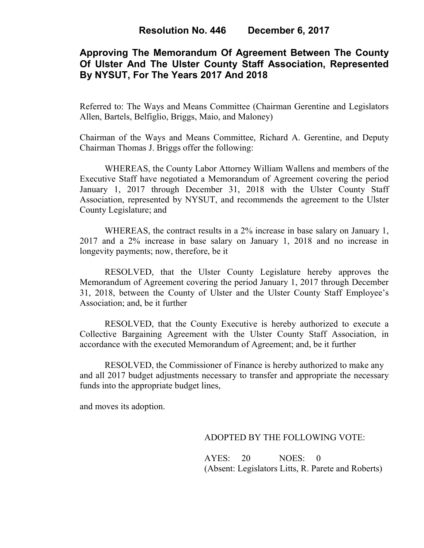## **Approving The Memorandum Of Agreement Between The County Of Ulster And The Ulster County Staff Association, Represented By NYSUT, For The Years 2017 And 2018**

Referred to: The Ways and Means Committee (Chairman Gerentine and Legislators Allen, Bartels, Belfiglio, Briggs, Maio, and Maloney)

Chairman of the Ways and Means Committee, Richard A. Gerentine, and Deputy Chairman Thomas J. Briggs offer the following:

 WHEREAS, the County Labor Attorney William Wallens and members of the Executive Staff have negotiated a Memorandum of Agreement covering the period January 1, 2017 through December 31, 2018 with the Ulster County Staff Association, represented by NYSUT, and recommends the agreement to the Ulster County Legislature; and

WHEREAS, the contract results in a 2% increase in base salary on January 1, 2017 and a 2% increase in base salary on January 1, 2018 and no increase in longevity payments; now, therefore, be it

RESOLVED, that the Ulster County Legislature hereby approves the Memorandum of Agreement covering the period January 1, 2017 through December 31, 2018, between the County of Ulster and the Ulster County Staff Employee's Association; and, be it further

RESOLVED, that the County Executive is hereby authorized to execute a Collective Bargaining Agreement with the Ulster County Staff Association, in accordance with the executed Memorandum of Agreement; and, be it further

RESOLVED, the Commissioner of Finance is hereby authorized to make any and all 2017 budget adjustments necessary to transfer and appropriate the necessary funds into the appropriate budget lines,

and moves its adoption.

ADOPTED BY THE FOLLOWING VOTE:

 AYES: 20 NOES: 0 (Absent: Legislators Litts, R. Parete and Roberts)